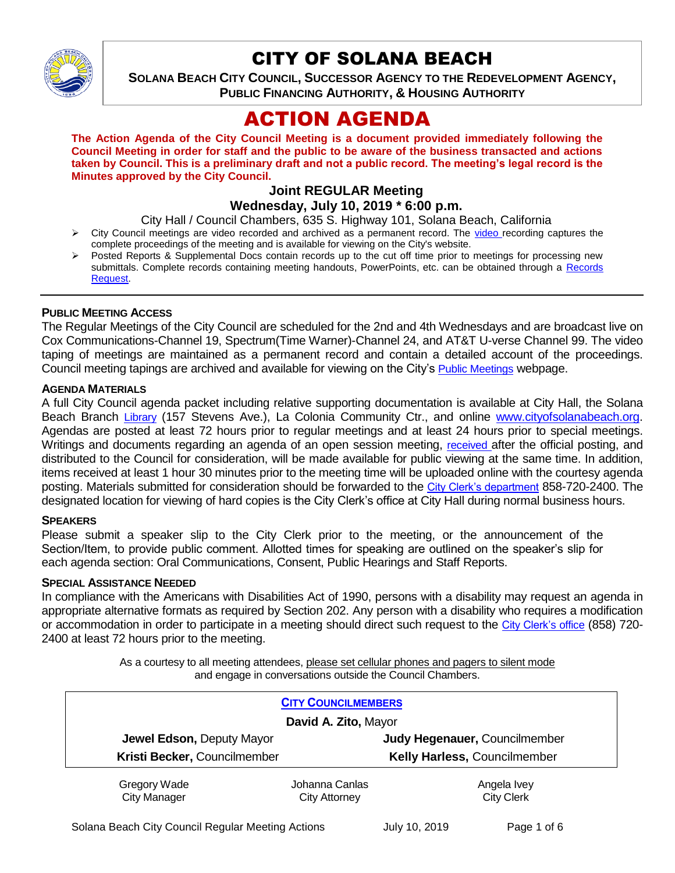

# CITY OF SOLANA BEACH

**SOLANA BEACH CITY COUNCIL, SUCCESSOR AGENCY TO THE REDEVELOPMENT AGENCY, PUBLIC FINANCING AUTHORITY, & HOUSING AUTHORITY** 

# ACTION AGENDA

**The Action Agenda of the City Council Meeting is a document provided immediately following the Council Meeting in order for staff and the public to be aware of the business transacted and actions taken by Council. This is a preliminary draft and not a public record. The meeting's legal record is the Minutes approved by the City Council.**

#### **Joint REGULAR Meeting Wednesday, July 10, 2019 \* 6:00 p.m.**

City Hall / Council Chambers, 635 S. Highway 101, Solana Beach, California

- $\triangleright$  City Council meetings are [video r](https://solanabeach.12milesout.com/#page=1)ecorded and archived as a permanent record. The video recording captures the complete proceedings of the meeting and is available for viewing on the City's website.
- Posted Reports & Supplemental Docs contain records up to the cut off time prior to meetings for processing new submittals. Complete records containing meeting handouts, PowerPoints, etc. can be obtained through a Records [Request.](http://www.ci.solana-beach.ca.us/index.asp?SEC=F5D45D10-70CE-4291-A27C-7BD633FC6742&Type=B_BASIC)

#### **PUBLIC MEETING ACCESS**

The Regular Meetings of the City Council are scheduled for the 2nd and 4th Wednesdays and are broadcast live on Cox Communications-Channel 19, Spectrum(Time Warner)-Channel 24, and AT&T U-verse Channel 99. The video taping of meetings are maintained as a permanent record and contain a detailed account of the proceedings. Council meeting tapings are archived and available for viewing on the City's [Public Meetings](https://www.ci.solana-beach.ca.us/index.asp?SEC=F0F1200D-21C6-4A88-8AE1-0BC07C1A81A7&Type=B_BASIC) webpage.

#### **AGENDA MATERIALS**

A full City Council agenda packet including relative supporting documentation is available at City Hall, the Solana Beach Branch [Library](http://www.sdcl.org/locations_SB.html) (157 Stevens Ave.), La Colonia Community Ctr., and online [www.cityofsolanabeach.org.](http://www.cityofsolanabeach.org/) Agendas are posted at least 72 hours prior to regular meetings and at least 24 hours prior to special meetings. Writings and documents regarding an agenda of an open session meeting, [received](mailto:EMAILGRP-CityClerksOfc@cosb.org) after the official posting, and distributed to the Council for consideration, will be made available for public viewing at the same time. In addition, items received at least 1 hour 30 minutes prior to the meeting time will be uploaded online with the courtesy agenda posting. Materials submitted for consideration should be forwarded to the [City Clerk's department](mailto:EMAILGRP-CityClerksOfc@cosb.org) 858-720-2400. The designated location for viewing of hard copies is the City Clerk's office at City Hall during normal business hours.

#### **SPEAKERS**

Please submit a speaker slip to the City Clerk prior to the meeting, or the announcement of the Section/Item, to provide public comment. Allotted times for speaking are outlined on the speaker's slip for each agenda section: Oral Communications, Consent, Public Hearings and Staff Reports.

#### **SPECIAL ASSISTANCE NEEDED**

In compliance with the Americans with Disabilities Act of 1990, persons with a disability may request an agenda in appropriate alternative formats as required by Section 202. Any person with a disability who requires a modification or accommodation in order to participate in a meeting should direct such request to the [City Clerk's office](mailto:clerkadmin@cosb.org?subject=City%20Clerk%20Notice%20of%20Special%20Services%20Needed) (858) 720- 2400 at least 72 hours prior to the meeting.

> As a courtesy to all meeting attendees, please set cellular phones and pagers to silent mode and engage in conversations outside the Council Chambers.

| <b>CITY COUNCILMEMBERS</b>          |                                 |                                  |
|-------------------------------------|---------------------------------|----------------------------------|
| David A. Zito, Mayor                |                                 |                                  |
| Jewel Edson, Deputy Mayor           |                                 | Judy Hegenauer, Councilmember    |
| Kristi Becker, Councilmember        |                                 | Kelly Harless, Councilmember     |
| Gregory Wade<br><b>City Manager</b> | Johanna Canlas<br>City Attorney | Angela Ivey<br><b>City Clerk</b> |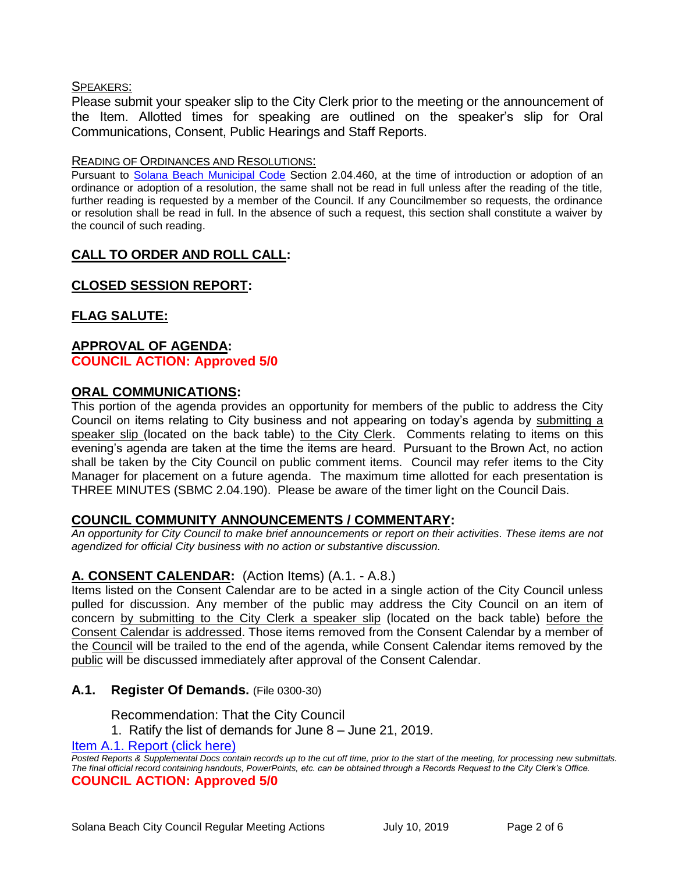#### SPEAKERS:

Please submit your speaker slip to the City Clerk prior to the meeting or the announcement of the Item. Allotted times for speaking are outlined on the speaker's slip for Oral Communications, Consent, Public Hearings and Staff Reports.

#### READING OF ORDINANCES AND RESOLUTIONS:

Pursuant to [Solana Beach Municipal Code](mailto:https://www.codepublishing.com/CA/SolanaBeach/) Section 2.04.460, at the time of introduction or adoption of an ordinance or adoption of a resolution, the same shall not be read in full unless after the reading of the title, further reading is requested by a member of the Council. If any Councilmember so requests, the ordinance or resolution shall be read in full. In the absence of such a request, this section shall constitute a waiver by the council of such reading.

# **CALL TO ORDER AND ROLL CALL:**

# **CLOSED SESSION REPORT:**

# **FLAG SALUTE:**

#### **APPROVAL OF AGENDA: COUNCIL ACTION: Approved 5/0**

#### **ORAL COMMUNICATIONS:**

This portion of the agenda provides an opportunity for members of the public to address the City Council on items relating to City business and not appearing on today's agenda by submitting a speaker slip (located on the back table) to the City Clerk. Comments relating to items on this evening's agenda are taken at the time the items are heard. Pursuant to the Brown Act, no action shall be taken by the City Council on public comment items. Council may refer items to the City Manager for placement on a future agenda. The maximum time allotted for each presentation is THREE MINUTES (SBMC 2.04.190). Please be aware of the timer light on the Council Dais.

#### **COUNCIL COMMUNITY ANNOUNCEMENTS / COMMENTARY:**

*An opportunity for City Council to make brief announcements or report on their activities. These items are not agendized for official City business with no action or substantive discussion.* 

#### **A. CONSENT CALENDAR:** (Action Items) (A.1. - A.8.)

Items listed on the Consent Calendar are to be acted in a single action of the City Council unless pulled for discussion. Any member of the public may address the City Council on an item of concern by submitting to the City Clerk a speaker slip (located on the back table) before the Consent Calendar is addressed. Those items removed from the Consent Calendar by a member of the Council will be trailed to the end of the agenda, while Consent Calendar items removed by the public will be discussed immediately after approval of the Consent Calendar.

#### **A.1. Register Of Demands.** (File 0300-30)

Recommendation: That the City Council

1. Ratify the list of demands for June 8 – June 21, 2019.

#### [Item A.1. Report \(click here\)](https://solanabeach.govoffice3.com/vertical/Sites/%7B840804C2-F869-4904-9AE3-720581350CE7%7D/uploads/Item_A.1._Report_(click_here)_07-10-19_-_O.pdf)

*Posted Reports & Supplemental Docs contain records up to the cut off time, prior to the start of the meeting, for processing new submittals. The final official record containing handouts, PowerPoints, etc. can be obtained through a Records Request to the City Clerk's Office.* **COUNCIL ACTION: Approved 5/0**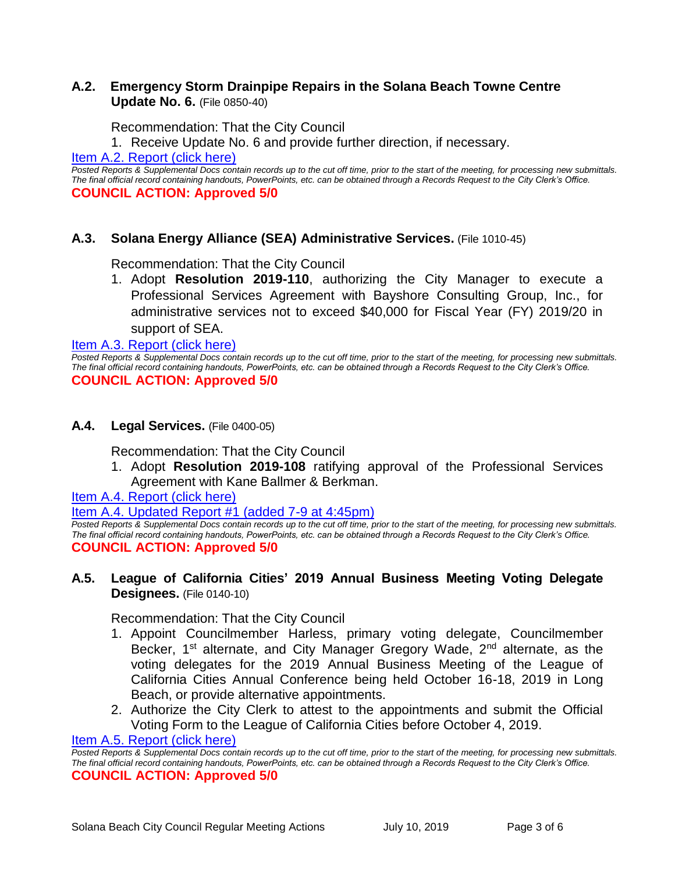#### **A.2. Emergency Storm Drainpipe Repairs in the Solana Beach Towne Centre Update No. 6.** (File 0850-40)

Recommendation: That the City Council

1. Receive Update No. 6 and provide further direction, if necessary.

Item A.2. Report (click here)

*Posted Reports & Supplemental Docs contain records up to the cut off time, prior to the start of the meeting, for processing new submittals. The final official record containing handouts, PowerPoints, etc. can be obtained through a Records Request to the City Clerk's Office.* **COUNCIL ACTION: Approved 5/0**

#### **A.3. Solana Energy Alliance (SEA) Administrative Services.** (File 1010-45)

Recommendation: That the City Council

1. Adopt **Resolution 2019-110**, authorizing the City Manager to execute a Professional Services Agreement with Bayshore Consulting Group, Inc., for administrative services not to exceed \$40,000 for Fiscal Year (FY) 2019/20 in support of SEA.

[Item A.3. Report \(click here\)](https://solanabeach.govoffice3.com/vertical/Sites/%7B840804C2-F869-4904-9AE3-720581350CE7%7D/uploads/Item_A.3._Report_(click_here)_07-10-19_-_O.pdf) 

*Posted Reports & Supplemental Docs contain records up to the cut off time, prior to the start of the meeting, for processing new submittals. The final official record containing handouts, PowerPoints, etc. can be obtained through a Records Request to the City Clerk's Office.* **COUNCIL ACTION: Approved 5/0**

#### **A.4. Legal Services.** (File 0400-05)

Recommendation: That the City Council

1. Adopt **Resolution 2019-108** ratifying approval of the Professional Services Agreement with Kane Ballmer & Berkman.

[Item A.4. Report \(click here\)](https://solanabeach.govoffice3.com/vertical/Sites/%7B840804C2-F869-4904-9AE3-720581350CE7%7D/uploads/Item_A.4._Report_(click_here)_07-10-19_-_O.pdf) 

[Item A.4. Updated Report #1 \(added 7-9 at 4:45pm\)](https://solanabeach.govoffice3.com/vertical/Sites/%7B840804C2-F869-4904-9AE3-720581350CE7%7D/uploads/Item_A.4._Updated_Report_1_-_7-9-19.pdf)

Posted Reports & Supplemental Docs contain records up to the cut off time, prior to the start of the meeting, for processing new submittals. *The final official record containing handouts, PowerPoints, etc. can be obtained through a Records Request to the City Clerk's Office.* **COUNCIL ACTION: Approved 5/0**

#### **A.5. League of California Cities' 2019 Annual Business Meeting Voting Delegate Designees.** (File 0140-10)

Recommendation: That the City Council

- 1. Appoint Councilmember Harless, primary voting delegate, Councilmember Becker, 1<sup>st</sup> alternate, and City Manager Gregory Wade, 2<sup>nd</sup> alternate, as the voting delegates for the 2019 Annual Business Meeting of the League of California Cities Annual Conference being held October 16-18, 2019 in Long Beach, or provide alternative appointments.
- 2. Authorize the City Clerk to attest to the appointments and submit the Official Voting Form to the League of California Cities before October 4, 2019.

[Item A.5. Report \(click here\)](https://solanabeach.govoffice3.com/vertical/Sites/%7B840804C2-F869-4904-9AE3-720581350CE7%7D/uploads/Item_A.5._Report_(click_here)_07-10-19_-_O.pdf) 

*Posted Reports & Supplemental Docs contain records up to the cut off time, prior to the start of the meeting, for processing new submittals. The final official record containing handouts, PowerPoints, etc. can be obtained through a Records Request to the City Clerk's Office.* **COUNCIL ACTION: Approved 5/0**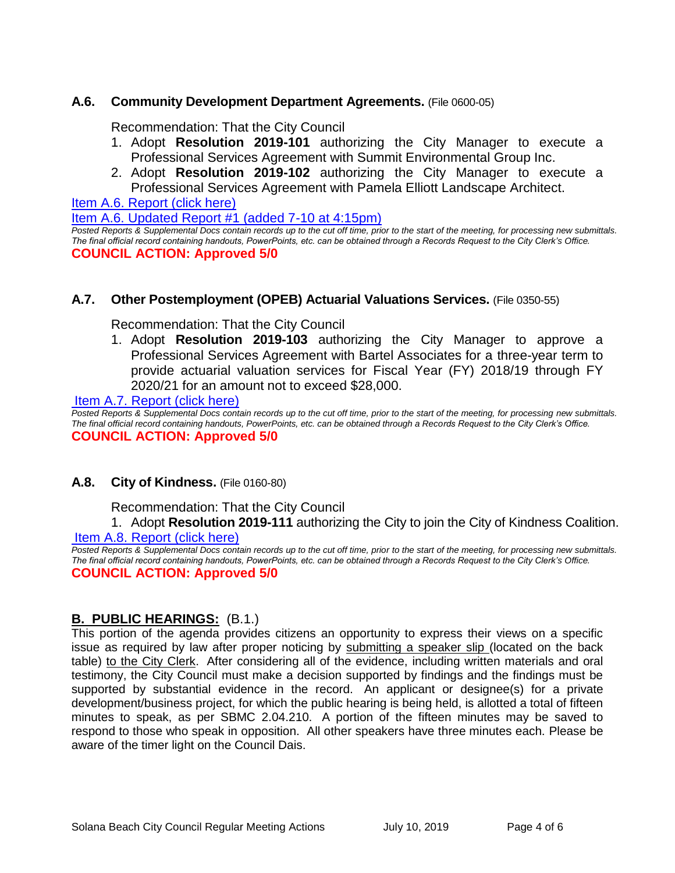#### **A.6. Community Development Department Agreements.** (File 0600-05)

Recommendation: That the City Council

- 1. Adopt **Resolution 2019-101** authorizing the City Manager to execute a Professional Services Agreement with Summit Environmental Group Inc.
- 2. Adopt **Resolution 2019-102** authorizing the City Manager to execute a Professional Services Agreement with Pamela Elliott Landscape Architect.

[Item A.6. Report \(click here\)](https://solanabeach.govoffice3.com/vertical/Sites/%7B840804C2-F869-4904-9AE3-720581350CE7%7D/uploads/Item_A.6._Report_(click_here)_07-10-19_-_O.pdf) 

[Item A.6. Updated Report #1 \(added 7-10 at 4:15pm\)](https://solanabeach.govoffice3.com/vertical/Sites/%7B840804C2-F869-4904-9AE3-720581350CE7%7D/uploads/Item_A.6._Updated_Report_1_-_7-10_(410pm).pdf)

*Posted Reports & Supplemental Docs contain records up to the cut off time, prior to the start of the meeting, for processing new submittals. The final official record containing handouts, PowerPoints, etc. can be obtained through a Records Request to the City Clerk's Office.* **COUNCIL ACTION: Approved 5/0**

#### **A.7. Other Postemployment (OPEB) Actuarial Valuations Services.** (File 0350-55)

Recommendation: That the City Council

1. Adopt **Resolution 2019-103** authorizing the City Manager to approve a Professional Services Agreement with Bartel Associates for a three-year term to provide actuarial valuation services for Fiscal Year (FY) 2018/19 through FY 2020/21 for an amount not to exceed \$28,000.

[Item A.7. Report \(click here\)](https://solanabeach.govoffice3.com/vertical/Sites/%7B840804C2-F869-4904-9AE3-720581350CE7%7D/uploads/Item_A.7._Report_(click_here)_07-10-19_-_O.pdf) 

*Posted Reports & Supplemental Docs contain records up to the cut off time, prior to the start of the meeting, for processing new submittals. The final official record containing handouts, PowerPoints, etc. can be obtained through a Records Request to the City Clerk's Office.* **COUNCIL ACTION: Approved 5/0**

#### **A.8. City of Kindness.** (File 0160-80)

Recommendation: That the City Council

# 1. Adopt **Resolution 2019-111** authorizing the City to join the City of Kindness Coalition.

[Item A.8. Report \(click here\)](https://solanabeach.govoffice3.com/vertical/Sites/%7B840804C2-F869-4904-9AE3-720581350CE7%7D/uploads/Item_A.8._Report_(click_here)_07-10-19_-_O.pdf) 

*Posted Reports & Supplemental Docs contain records up to the cut off time, prior to the start of the meeting, for processing new submittals. The final official record containing handouts, PowerPoints, etc. can be obtained through a Records Request to the City Clerk's Office.* **COUNCIL ACTION: Approved 5/0**

#### **B. PUBLIC HEARINGS:** (B.1.)

This portion of the agenda provides citizens an opportunity to express their views on a specific issue as required by law after proper noticing by submitting a speaker slip (located on the back table) to the City Clerk. After considering all of the evidence, including written materials and oral testimony, the City Council must make a decision supported by findings and the findings must be supported by substantial evidence in the record. An applicant or designee(s) for a private development/business project, for which the public hearing is being held, is allotted a total of fifteen minutes to speak, as per SBMC 2.04.210. A portion of the fifteen minutes may be saved to respond to those who speak in opposition. All other speakers have three minutes each. Please be aware of the timer light on the Council Dais.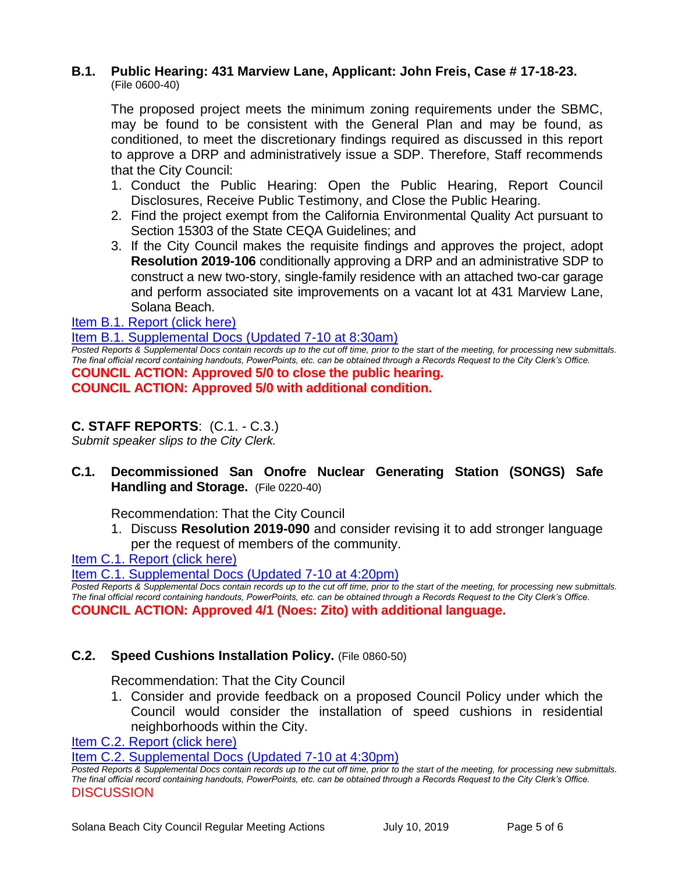#### **B.1. Public Hearing: 431 Marview Lane, Applicant: John Freis, Case # 17-18-23.** (File 0600-40)

The proposed project meets the minimum zoning requirements under the SBMC, may be found to be consistent with the General Plan and may be found, as conditioned, to meet the discretionary findings required as discussed in this report to approve a DRP and administratively issue a SDP. Therefore, Staff recommends that the City Council:

- 1. Conduct the Public Hearing: Open the Public Hearing, Report Council Disclosures, Receive Public Testimony, and Close the Public Hearing.
- 2. Find the project exempt from the California Environmental Quality Act pursuant to Section 15303 of the State CEQA Guidelines; and
- 3. If the City Council makes the requisite findings and approves the project, adopt **Resolution 2019-106** conditionally approving a DRP and an administrative SDP to construct a new two-story, single-family residence with an attached two-car garage and perform associated site improvements on a vacant lot at 431 Marview Lane, Solana Beach.

[Item B.1. Report \(click here\)](https://solanabeach.govoffice3.com/vertical/Sites/%7B840804C2-F869-4904-9AE3-720581350CE7%7D/uploads/Item_B.1._Report_(click_here)_07-10-19_-_O.PDF) 

#### [Item B.1. Supplemental Docs \(Updated 7-10 at 8:30am\)](https://solanabeach.govoffice3.com/vertical/Sites/%7B840804C2-F869-4904-9AE3-720581350CE7%7D/uploads/Item_B.1._Supplemental_Docs_(7-10_at_830am).pdf)

*Posted Reports & Supplemental Docs contain records up to the cut off time, prior to the start of the meeting, for processing new submittals. The final official record containing handouts, PowerPoints, etc. can be obtained through a Records Request to the City Clerk's Office.* **COUNCIL ACTION: Approved 5/0 to close the public hearing. COUNCIL ACTION: Approved 5/0 with additional condition.** 

### **C. STAFF REPORTS**: (C.1. - C.3.)

*Submit speaker slips to the City Clerk.*

# **C.1. Decommissioned San Onofre Nuclear Generating Station (SONGS) Safe Handling and Storage.** (File 0220-40)

Recommendation: That the City Council

1. Discuss **Resolution 2019-090** and consider revising it to add stronger language per the request of members of the community.

[Item C.1. Report \(click here\)](https://solanabeach.govoffice3.com/vertical/Sites/%7B840804C2-F869-4904-9AE3-720581350CE7%7D/uploads/Item_C.1._Report_(click_here)_07-10-19_-_O.pdf) 

[Item C.1. Supplemental Docs \(Updated 7-10](https://solanabeach.govoffice3.com/vertical/Sites/%7B840804C2-F869-4904-9AE3-720581350CE7%7D/uploads/Item_C.1._Supplemental_Docs_(7-10_4pm)-O.pdf) at 4:20pm)

*Posted Reports & Supplemental Docs contain records up to the cut off time, prior to the start of the meeting, for processing new submittals. The final official record containing handouts, PowerPoints, etc. can be obtained through a Records Request to the City Clerk's Office.* **COUNCIL ACTION: Approved 4/1 (Noes: Zito) with additional language.** 

#### **C.2. Speed Cushions Installation Policy.** (File 0860-50)

Recommendation: That the City Council

1. Consider and provide feedback on a proposed Council Policy under which the Council would consider the installation of speed cushions in residential neighborhoods within the City.

[Item C.2. Report \(click here\)](https://solanabeach.govoffice3.com/vertical/Sites/%7B840804C2-F869-4904-9AE3-720581350CE7%7D/uploads/Item_C.2._Report_(click_here)_07-10-19_-_O.pdf) 

[Item C.2. Supplemental Docs \(Updated 7-10](https://solanabeach.govoffice3.com/vertical/Sites/%7B840804C2-F869-4904-9AE3-720581350CE7%7D/uploads/Item_C.2._Supplemental_Docs_(7-10_at_420pm)-O.pdf) at 4:30pm)

*Posted Reports & Supplemental Docs contain records up to the cut off time, prior to the start of the meeting, for processing new submittals. The final official record containing handouts, PowerPoints, etc. can be obtained through a Records Request to the City Clerk's Office.* DISCUSSION